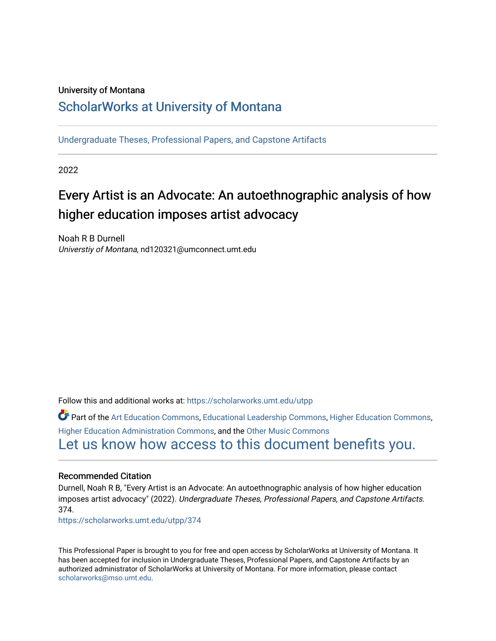### University of Montana

## [ScholarWorks at University of Montana](https://scholarworks.umt.edu/)

[Undergraduate Theses, Professional Papers, and Capstone Artifacts](https://scholarworks.umt.edu/utpp)

2022

# Every Artist is an Advocate: An autoethnographic analysis of how higher education imposes artist advocacy

Noah R B Durnell Universtiy of Montana, nd120321@umconnect.umt.edu

Follow this and additional works at: [https://scholarworks.umt.edu/utpp](https://scholarworks.umt.edu/utpp?utm_source=scholarworks.umt.edu%2Futpp%2F374&utm_medium=PDF&utm_campaign=PDFCoverPages)

Part of the [Art Education Commons](http://network.bepress.com/hgg/discipline/1149?utm_source=scholarworks.umt.edu%2Futpp%2F374&utm_medium=PDF&utm_campaign=PDFCoverPages), [Educational Leadership Commons,](http://network.bepress.com/hgg/discipline/1230?utm_source=scholarworks.umt.edu%2Futpp%2F374&utm_medium=PDF&utm_campaign=PDFCoverPages) [Higher Education Commons](http://network.bepress.com/hgg/discipline/1245?utm_source=scholarworks.umt.edu%2Futpp%2F374&utm_medium=PDF&utm_campaign=PDFCoverPages), [Higher Education Administration Commons](http://network.bepress.com/hgg/discipline/791?utm_source=scholarworks.umt.edu%2Futpp%2F374&utm_medium=PDF&utm_campaign=PDFCoverPages), and the [Other Music Commons](http://network.bepress.com/hgg/discipline/524?utm_source=scholarworks.umt.edu%2Futpp%2F374&utm_medium=PDF&utm_campaign=PDFCoverPages)  [Let us know how access to this document benefits you.](https://goo.gl/forms/s2rGfXOLzz71qgsB2) 

#### Recommended Citation

Durnell, Noah R B, "Every Artist is an Advocate: An autoethnographic analysis of how higher education imposes artist advocacy" (2022). Undergraduate Theses, Professional Papers, and Capstone Artifacts. 374.

[https://scholarworks.umt.edu/utpp/374](https://scholarworks.umt.edu/utpp/374?utm_source=scholarworks.umt.edu%2Futpp%2F374&utm_medium=PDF&utm_campaign=PDFCoverPages)

This Professional Paper is brought to you for free and open access by ScholarWorks at University of Montana. It has been accepted for inclusion in Undergraduate Theses, Professional Papers, and Capstone Artifacts by an authorized administrator of ScholarWorks at University of Montana. For more information, please contact [scholarworks@mso.umt.edu.](mailto:scholarworks@mso.umt.edu)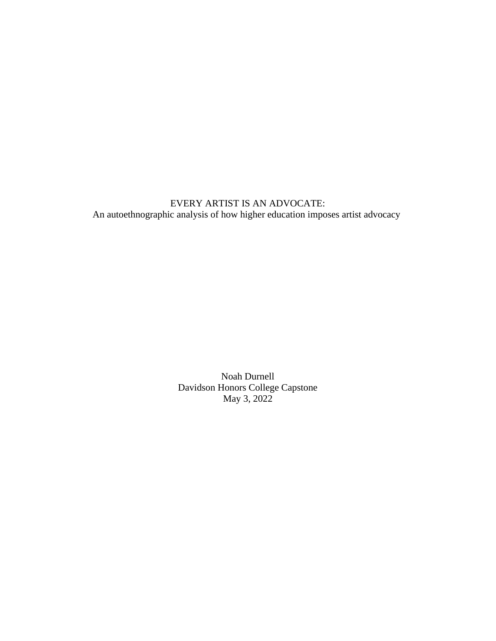EVERY ARTIST IS AN ADVOCATE: An autoethnographic analysis of how higher education imposes artist advocacy

> Noah Durnell Davidson Honors College Capstone May 3, 2022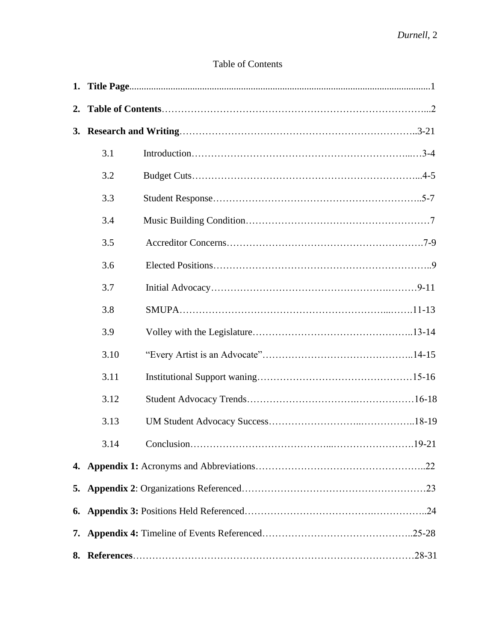## Table of Contents

| 2. |      |  |  |
|----|------|--|--|
| 3. |      |  |  |
|    | 3.1  |  |  |
|    | 3.2  |  |  |
|    | 3.3  |  |  |
|    | 3.4  |  |  |
|    | 3.5  |  |  |
|    | 3.6  |  |  |
|    | 3.7  |  |  |
|    | 3.8  |  |  |
|    | 3.9  |  |  |
|    | 3.10 |  |  |
|    | 3.11 |  |  |
|    | 3.12 |  |  |
|    | 3.13 |  |  |
|    | 3.14 |  |  |
|    |      |  |  |
|    |      |  |  |
| 6. |      |  |  |
|    |      |  |  |
| 8. |      |  |  |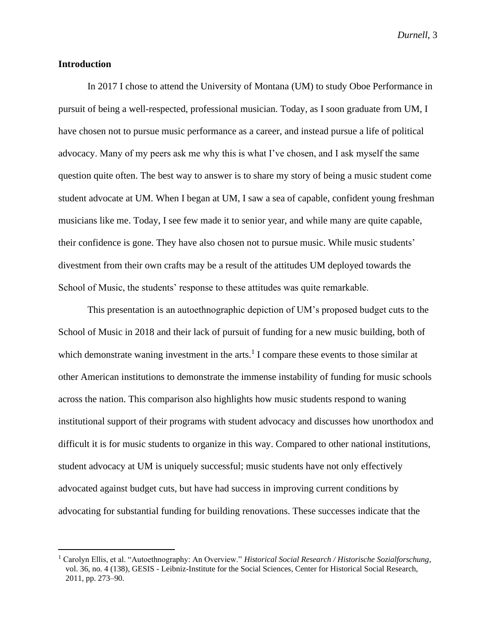#### **Introduction**

In 2017 I chose to attend the University of Montana (UM) to study Oboe Performance in pursuit of being a well-respected, professional musician. Today, as I soon graduate from UM, I have chosen not to pursue music performance as a career, and instead pursue a life of political advocacy. Many of my peers ask me why this is what I've chosen, and I ask myself the same question quite often. The best way to answer is to share my story of being a music student come student advocate at UM. When I began at UM, I saw a sea of capable, confident young freshman musicians like me. Today, I see few made it to senior year, and while many are quite capable, their confidence is gone. They have also chosen not to pursue music. While music students' divestment from their own crafts may be a result of the attitudes UM deployed towards the School of Music, the students' response to these attitudes was quite remarkable.

This presentation is an autoethnographic depiction of UM's proposed budget cuts to the School of Music in 2018 and their lack of pursuit of funding for a new music building, both of which demonstrate waning investment in the arts.<sup>1</sup> I compare these events to those similar at other American institutions to demonstrate the immense instability of funding for music schools across the nation. This comparison also highlights how music students respond to waning institutional support of their programs with student advocacy and discusses how unorthodox and difficult it is for music students to organize in this way. Compared to other national institutions, student advocacy at UM is uniquely successful; music students have not only effectively advocated against budget cuts, but have had success in improving current conditions by advocating for substantial funding for building renovations. These successes indicate that the

<sup>1</sup> Carolyn Ellis, et al. "Autoethnography: An Overview." *Historical Social Research / Historische Sozialforschung*, vol. 36, no. 4 (138), GESIS - Leibniz-Institute for the Social Sciences, Center for Historical Social Research, 2011, pp. 273–90.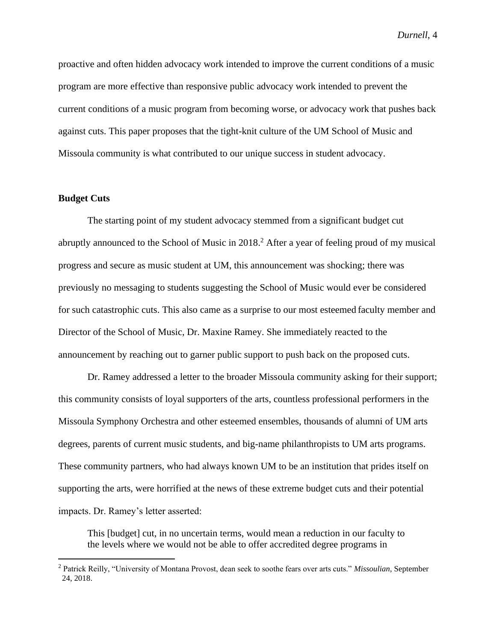proactive and often hidden advocacy work intended to improve the current conditions of a music program are more effective than responsive public advocacy work intended to prevent the current conditions of a music program from becoming worse, or advocacy work that pushes back against cuts. This paper proposes that the tight-knit culture of the UM School of Music and Missoula community is what contributed to our unique success in student advocacy.

#### **Budget Cuts**

The starting point of my student advocacy stemmed from a significant budget cut abruptly announced to the School of Music in 2018. <sup>2</sup> After a year of feeling proud of my musical progress and secure as music student at UM, this announcement was shocking; there was previously no messaging to students suggesting the School of Music would ever be considered for such catastrophic cuts. This also came as a surprise to our most esteemed faculty member and Director of the School of Music, Dr. Maxine Ramey. She immediately reacted to the announcement by reaching out to garner public support to push back on the proposed cuts.

Dr. Ramey addressed a letter to the broader Missoula community asking for their support; this community consists of loyal supporters of the arts, countless professional performers in the Missoula Symphony Orchestra and other esteemed ensembles, thousands of alumni of UM arts degrees, parents of current music students, and big-name philanthropists to UM arts programs. These community partners, who had always known UM to be an institution that prides itself on supporting the arts, were horrified at the news of these extreme budget cuts and their potential impacts. Dr. Ramey's letter asserted:

This [budget] cut, in no uncertain terms, would mean a reduction in our faculty to the levels where we would not be able to offer accredited degree programs in

<sup>2</sup> Patrick Reilly, "University of Montana Provost, dean seek to soothe fears over arts cuts." *Missoulian*, September 24, 2018.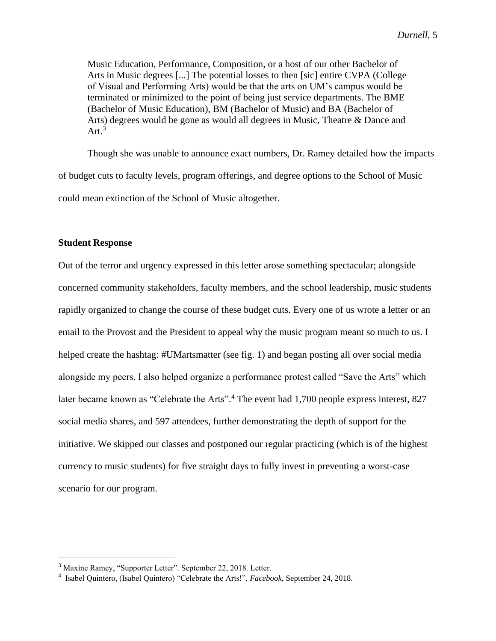Music Education, Performance, Composition, or a host of our other Bachelor of Arts in Music degrees [...] The potential losses to then [sic] entire CVPA (College of Visual and Performing Arts) would be that the arts on UM's campus would be terminated or minimized to the point of being just service departments. The BME (Bachelor of Music Education), BM (Bachelor of Music) and BA (Bachelor of Arts) degrees would be gone as would all degrees in Music, Theatre & Dance and Art $^3$ 

Though she was unable to announce exact numbers, Dr. Ramey detailed how the impacts of budget cuts to faculty levels, program offerings, and degree options to the School of Music could mean extinction of the School of Music altogether.

#### **Student Response**

Out of the terror and urgency expressed in this letter arose something spectacular; alongside concerned community stakeholders, faculty members, and the school leadership, music students rapidly organized to change the course of these budget cuts. Every one of us wrote a letter or an email to the Provost and the President to appeal why the music program meant so much to us. I helped create the hashtag: #UMartsmatter (see fig. 1) and began posting all over social media alongside my peers. I also helped organize a performance protest called "Save the Arts" which later became known as "Celebrate the Arts".<sup>4</sup> The event had 1,700 people express interest, 827 social media shares, and 597 attendees, further demonstrating the depth of support for the initiative. We skipped our classes and postponed our regular practicing (which is of the highest currency to music students) for five straight days to fully invest in preventing a worst-case scenario for our program.

<sup>3</sup> Maxine Ramey, "Supporter Letter". September 22, 2018. Letter.

<sup>4</sup> Isabel Quintero, (Isabel Quintero) "Celebrate the Arts!", *Facebook*, September 24, 2018.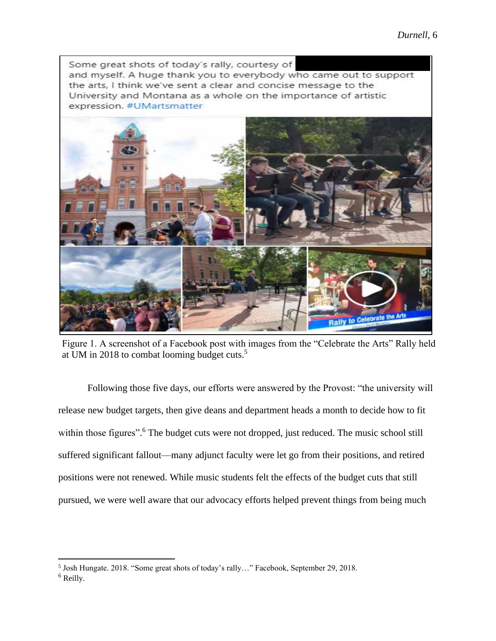Some great shots of today's rally, courtesy of and myself. A huge thank you to everybody who came out to support the arts, I think we've sent a clear and concise message to the University and Montana as a whole on the importance of artistic expression. #UMartsmatter



Figure 1. A screenshot of a Facebook post with images from the "Celebrate the Arts" Rally held at UM in 2018 to combat looming budget cuts.<sup>5</sup>

Following those five days, our efforts were answered by the Provost: "the university will release new budget targets, then give deans and department heads a month to decide how to fit within those figures".<sup>6</sup> The budget cuts were not dropped, just reduced. The music school still suffered significant fallout—many adjunct faculty were let go from their positions, and retired positions were not renewed. While music students felt the effects of the budget cuts that still pursued, we were well aware that our advocacy efforts helped prevent things from being much

<sup>&</sup>lt;sup>5</sup> Josh Hungate. 2018. "Some great shots of today's rally..." Facebook, September 29, 2018.

<sup>6</sup> Reilly.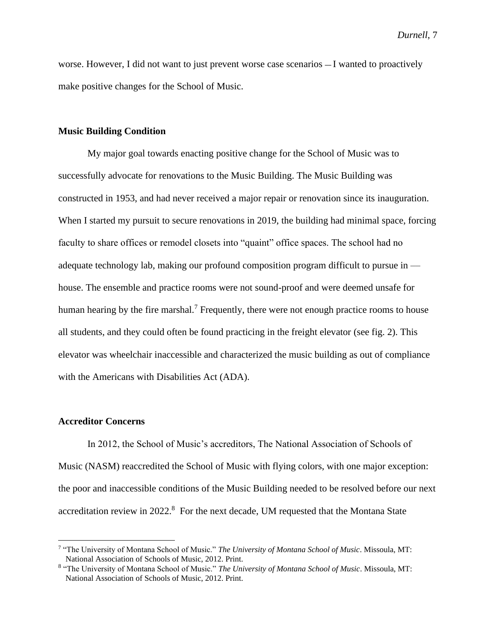worse. However, I did not want to just prevent worse case scenarios  $-$  I wanted to proactively make positive changes for the School of Music.

#### **Music Building Condition**

My major goal towards enacting positive change for the School of Music was to successfully advocate for renovations to the Music Building. The Music Building was constructed in 1953, and had never received a major repair or renovation since its inauguration. When I started my pursuit to secure renovations in 2019, the building had minimal space, forcing faculty to share offices or remodel closets into "quaint" office spaces. The school had no adequate technology lab, making our profound composition program difficult to pursue in –– house. The ensemble and practice rooms were not sound-proof and were deemed unsafe for human hearing by the fire marshal.<sup>7</sup> Frequently, there were not enough practice rooms to house all students, and they could often be found practicing in the freight elevator (see fig. 2). This elevator was wheelchair inaccessible and characterized the music building as out of compliance with the Americans with Disabilities Act (ADA).

#### **Accreditor Concerns**

In 2012, the School of Music's accreditors, The National Association of Schools of Music (NASM) reaccredited the School of Music with flying colors, with one major exception: the poor and inaccessible conditions of the Music Building needed to be resolved before our next accreditation review in  $2022$ .<sup>8</sup> For the next decade, UM requested that the Montana State

<sup>7</sup> "The University of Montana School of Music." *The University of Montana School of Music*. Missoula, MT: National Association of Schools of Music, 2012. Print.

<sup>8</sup> "The University of Montana School of Music." *The University of Montana School of Music*. Missoula, MT: National Association of Schools of Music, 2012. Print.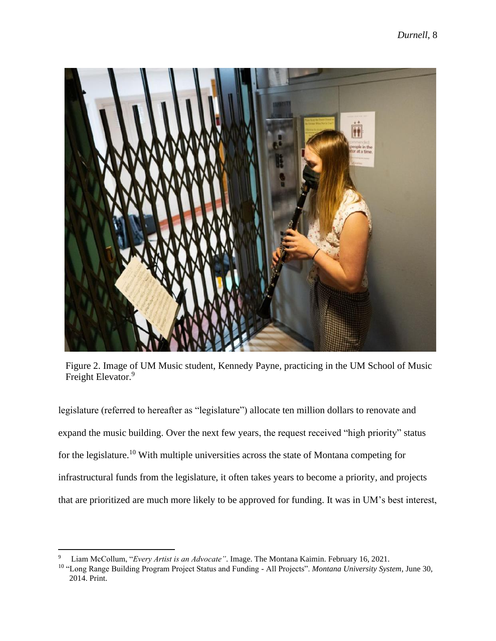

Figure 2. Image of UM Music student, Kennedy Payne, practicing in the UM School of Music Freight Elevator.<sup>9</sup>

legislature (referred to hereafter as "legislature") allocate ten million dollars to renovate and expand the music building. Over the next few years, the request received "high priority" status for the legislature.<sup>10</sup> With multiple universities across the state of Montana competing for infrastructural funds from the legislature, it often takes years to become a priority, and projects that are prioritized are much more likely to be approved for funding. It was in UM's best interest,

<sup>9</sup> Liam McCollum, "*Every Artist is an Advocate"*. Image. The Montana Kaimin. February 16, 2021.

<sup>10</sup> "Long Range Building Program Project Status and Funding - All Projects". *Montana University System*, June 30, 2014. Print.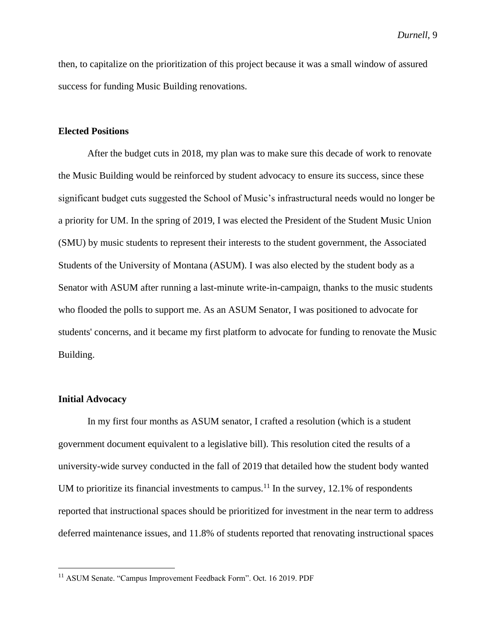then, to capitalize on the prioritization of this project because it was a small window of assured success for funding Music Building renovations.

#### **Elected Positions**

After the budget cuts in 2018, my plan was to make sure this decade of work to renovate the Music Building would be reinforced by student advocacy to ensure its success, since these significant budget cuts suggested the School of Music's infrastructural needs would no longer be a priority for UM. In the spring of 2019, I was elected the President of the Student Music Union (SMU) by music students to represent their interests to the student government, the Associated Students of the University of Montana (ASUM). I was also elected by the student body as a Senator with ASUM after running a last-minute write-in-campaign, thanks to the music students who flooded the polls to support me. As an ASUM Senator, I was positioned to advocate for students' concerns, and it became my first platform to advocate for funding to renovate the Music Building.

#### **Initial Advocacy**

In my first four months as ASUM senator, I crafted a resolution (which is a student government document equivalent to a legislative bill). This resolution cited the results of a university-wide survey conducted in the fall of 2019 that detailed how the student body wanted UM to prioritize its financial investments to campus.<sup>11</sup> In the survey, 12.1% of respondents reported that instructional spaces should be prioritized for investment in the near term to address deferred maintenance issues, and 11.8% of students reported that renovating instructional spaces

<sup>&</sup>lt;sup>11</sup> ASUM Senate. "Campus Improvement Feedback Form". Oct. 16 2019. PDF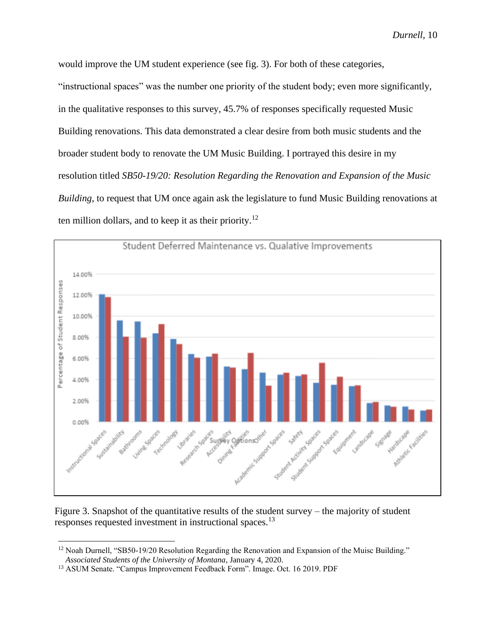would improve the UM student experience (see fig. 3). For both of these categories, "instructional spaces" was the number one priority of the student body; even more significantly, in the qualitative responses to this survey, 45.7% of responses specifically requested Music Building renovations. This data demonstrated a clear desire from both music students and the broader student body to renovate the UM Music Building. I portrayed this desire in my resolution titled *SB50-19/20: Resolution Regarding the Renovation and Expansion of the Music Building*, to request that UM once again ask the legislature to fund Music Building renovations at ten million dollars, and to keep it as their priority. $12$ 



Figure 3. Snapshot of the quantitative results of the student survey – the majority of student responses requested investment in instructional spaces.<sup>13</sup>

<sup>&</sup>lt;sup>12</sup> Noah Durnell, "SB50-19/20 Resolution Regarding the Renovation and Expansion of the Muisc Building." *Associated Students of the University of Montana*, January 4, 2020.

<sup>13</sup> ASUM Senate. "Campus Improvement Feedback Form". Image. Oct. 16 2019. PDF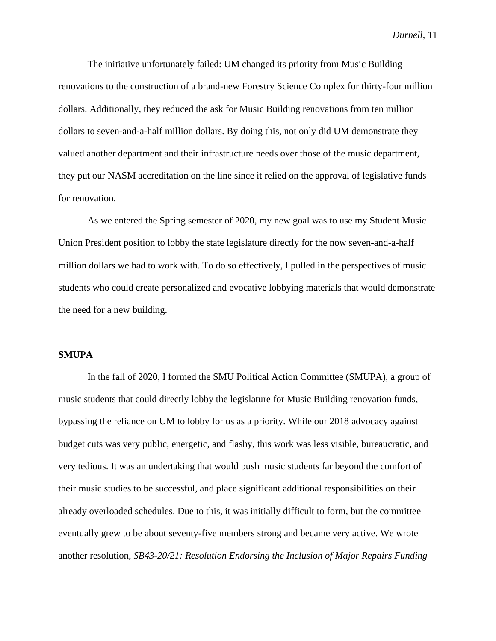The initiative unfortunately failed: UM changed its priority from Music Building renovations to the construction of a brand-new Forestry Science Complex for thirty-four million dollars. Additionally, they reduced the ask for Music Building renovations from ten million dollars to seven-and-a-half million dollars. By doing this, not only did UM demonstrate they valued another department and their infrastructure needs over those of the music department, they put our NASM accreditation on the line since it relied on the approval of legislative funds for renovation.

As we entered the Spring semester of 2020, my new goal was to use my Student Music Union President position to lobby the state legislature directly for the now seven-and-a-half million dollars we had to work with. To do so effectively, I pulled in the perspectives of music students who could create personalized and evocative lobbying materials that would demonstrate the need for a new building.

#### **SMUPA**

In the fall of 2020, I formed the SMU Political Action Committee (SMUPA), a group of music students that could directly lobby the legislature for Music Building renovation funds, bypassing the reliance on UM to lobby for us as a priority. While our 2018 advocacy against budget cuts was very public, energetic, and flashy, this work was less visible, bureaucratic, and very tedious. It was an undertaking that would push music students far beyond the comfort of their music studies to be successful, and place significant additional responsibilities on their already overloaded schedules. Due to this, it was initially difficult to form, but the committee eventually grew to be about seventy-five members strong and became very active. We wrote another resolution, *SB43-20/21: Resolution Endorsing the Inclusion of Major Repairs Funding*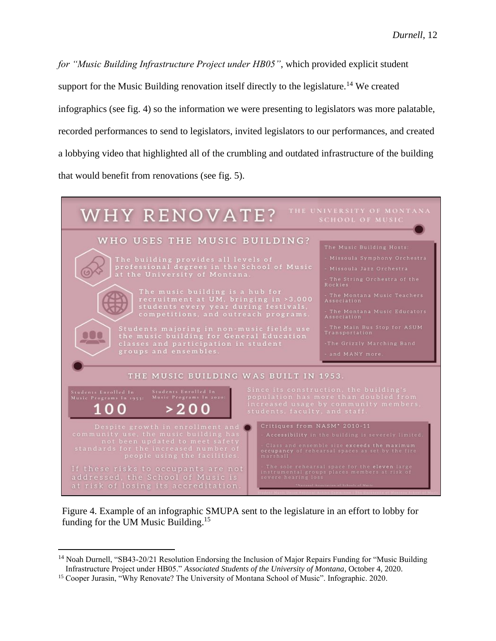*for "Music Building Infrastructure Project under HB05"*, which provided explicit student support for the Music Building renovation itself directly to the legislature.<sup>14</sup> We created infographics (see fig. 4) so the information we were presenting to legislators was more palatable, recorded performances to send to legislators, invited legislators to our performances, and created a lobbying video that highlighted all of the crumbling and outdated infrastructure of the building that would benefit from renovations (see fig. 5).



Figure 4. Example of an infographic SMUPA sent to the legislature in an effort to lobby for funding for the UM Music Building.<sup>15</sup>

<sup>&</sup>lt;sup>14</sup> Noah Durnell, "SB43-20/21 Resolution Endorsing the Inclusion of Major Repairs Funding for "Music Building" Infrastructure Project under HB05." *Associated Students of the University of Montana*, October 4, 2020.

<sup>&</sup>lt;sup>15</sup> Cooper Jurasin, "Why Renovate? The University of Montana School of Music". Infographic. 2020.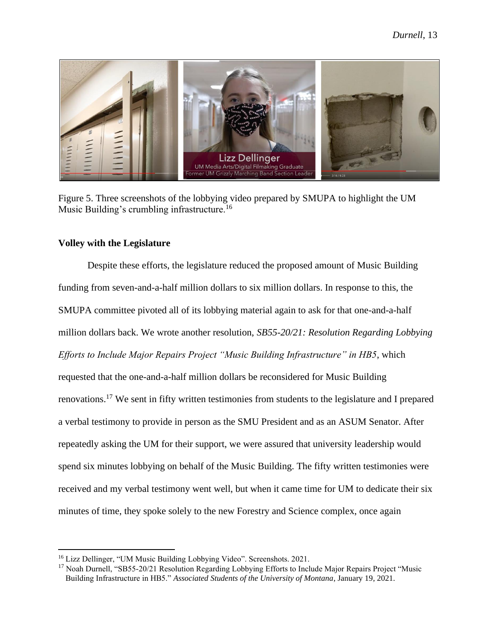

Figure 5. Three screenshots of the lobbying video prepared by SMUPA to highlight the UM Music Building's crumbling infrastructure.<sup>16</sup>

#### **Volley with the Legislature**

Despite these efforts, the legislature reduced the proposed amount of Music Building funding from seven-and-a-half million dollars to six million dollars. In response to this, the SMUPA committee pivoted all of its lobbying material again to ask for that one-and-a-half million dollars back. We wrote another resolution, *SB55-20/21: Resolution Regarding Lobbying Efforts to Include Major Repairs Project "Music Building Infrastructure" in HB5*, which requested that the one-and-a-half million dollars be reconsidered for Music Building renovations.<sup>17</sup> We sent in fifty written testimonies from students to the legislature and I prepared a verbal testimony to provide in person as the SMU President and as an ASUM Senator. After repeatedly asking the UM for their support, we were assured that university leadership would spend six minutes lobbying on behalf of the Music Building. The fifty written testimonies were received and my verbal testimony went well, but when it came time for UM to dedicate their six minutes of time, they spoke solely to the new Forestry and Science complex, once again

<sup>&</sup>lt;sup>16</sup> Lizz Dellinger, "UM Music Building Lobbying Video". Screenshots. 2021.

<sup>&</sup>lt;sup>17</sup> Noah Durnell, "SB55-20/21 Resolution Regarding Lobbying Efforts to Include Major Repairs Project "Music Building Infrastructure in HB5." *Associated Students of the University of Montana*, January 19, 2021.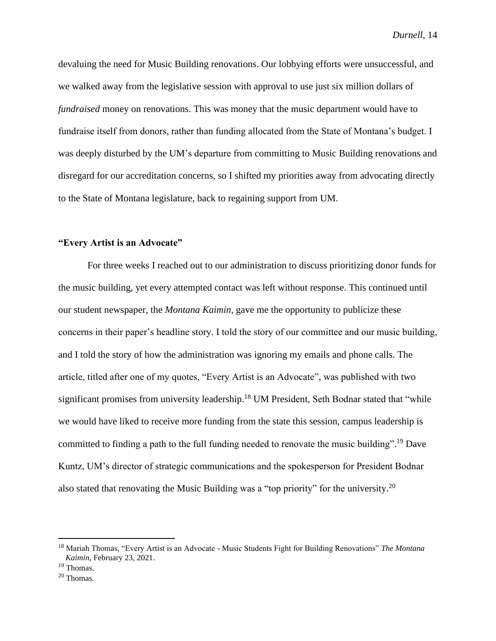devaluing the need for Music Building renovations. Our lobbying efforts were unsuccessful, and we walked away from the legislative session with approval to use just six million dollars of *fundraised* money on renovations. This was money that the music department would have to fundraise itself from donors, rather than funding allocated from the State of Montana's budget. I was deeply disturbed by the UM's departure from committing to Music Building renovations and disregard for our accreditation concerns, so I shifted my priorities away from advocating directly to the State of Montana legislature, back to regaining support from UM.

#### **"Every Artist is an Advocate"**

For three weeks I reached out to our administration to discuss prioritizing donor funds for the music building, yet every attempted contact was left without response. This continued until our student newspaper, the *Montana Kaimin*, gave me the opportunity to publicize these concerns in their paper's headline story. I told the story of our committee and our music building, and I told the story of how the administration was ignoring my emails and phone calls. The article, titled after one of my quotes, "Every Artist is an Advocate", was published with two significant promises from university leadership.<sup>18</sup> UM President, Seth Bodnar stated that "while we would have liked to receive more funding from the state this session, campus leadership is committed to finding a path to the full funding needed to renovate the music building".<sup>19</sup> Dave Kuntz, UM's director of strategic communications and the spokesperson for President Bodnar also stated that renovating the Music Building was a "top priority" for the university.<sup>20</sup>

<sup>18</sup> Mariah Thomas, "Every Artist is an Advocate - Music Students Fight for Building Renovations" *The Montana Kaimin*, February 23, 2021.

<sup>19</sup> Thomas.

<sup>20</sup> Thomas.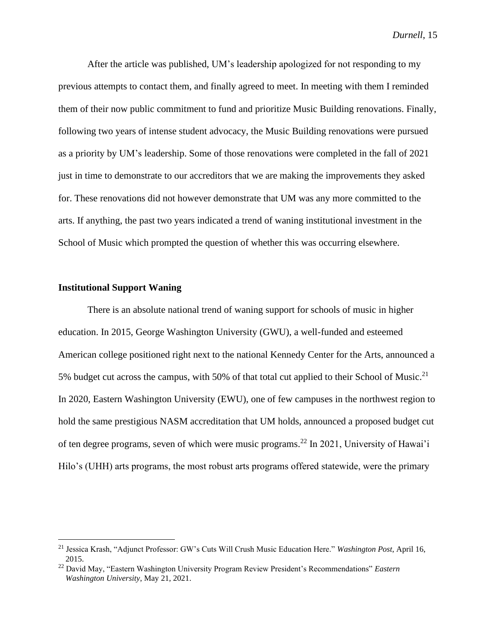After the article was published, UM's leadership apologized for not responding to my previous attempts to contact them, and finally agreed to meet. In meeting with them I reminded them of their now public commitment to fund and prioritize Music Building renovations. Finally, following two years of intense student advocacy, the Music Building renovations were pursued as a priority by UM's leadership. Some of those renovations were completed in the fall of 2021 just in time to demonstrate to our accreditors that we are making the improvements they asked for. These renovations did not however demonstrate that UM was any more committed to the arts. If anything, the past two years indicated a trend of waning institutional investment in the School of Music which prompted the question of whether this was occurring elsewhere.

#### **Institutional Support Waning**

There is an absolute national trend of waning support for schools of music in higher education. In 2015, George Washington University (GWU), a well-funded and esteemed American college positioned right next to the national Kennedy Center for the Arts, announced a 5% budget cut across the campus, with 50% of that total cut applied to their School of Music.<sup>21</sup> In 2020, Eastern Washington University (EWU), one of few campuses in the northwest region to hold the same prestigious NASM accreditation that UM holds, announced a proposed budget cut of ten degree programs, seven of which were music programs.<sup>22</sup> In 2021, University of Hawai'i Hilo's (UHH) arts programs, the most robust arts programs offered statewide, were the primary

<sup>21</sup> Jessica Krash, "Adjunct Professor: GW's Cuts Will Crush Music Education Here." *Washington Post*, April 16, 2015.

<sup>22</sup> David May, "Eastern Washington University Program Review President's Recommendations" *Eastern Washington University*, May 21, 2021.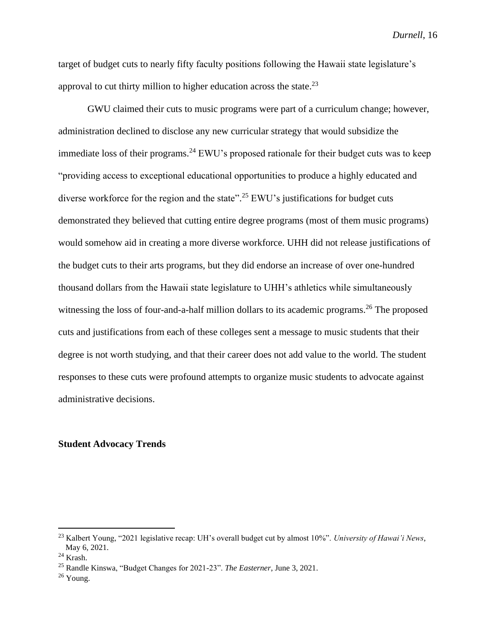target of budget cuts to nearly fifty faculty positions following the Hawaii state legislature's approval to cut thirty million to higher education across the state.<sup>23</sup>

GWU claimed their cuts to music programs were part of a curriculum change; however, administration declined to disclose any new curricular strategy that would subsidize the immediate loss of their programs.<sup>24</sup> EWU's proposed rationale for their budget cuts was to keep "providing access to exceptional educational opportunities to produce a highly educated and diverse workforce for the region and the state".<sup>25</sup> EWU's justifications for budget cuts demonstrated they believed that cutting entire degree programs (most of them music programs) would somehow aid in creating a more diverse workforce. UHH did not release justifications of the budget cuts to their arts programs, but they did endorse an increase of over one-hundred thousand dollars from the Hawaii state legislature to UHH's athletics while simultaneously witnessing the loss of four-and-a-half million dollars to its academic programs.<sup>26</sup> The proposed cuts and justifications from each of these colleges sent a message to music students that their degree is not worth studying, and that their career does not add value to the world. The student responses to these cuts were profound attempts to organize music students to advocate against administrative decisions.

### **Student Advocacy Trends**

<sup>23</sup> Kalbert Young, "2021 legislative recap: UH's overall budget cut by almost 10%". *University of Hawai'i News*, May 6, 2021.

<sup>24</sup> Krash.

<sup>25</sup> Randle Kinswa, "Budget Changes for 2021-23". *The Easterner*, June 3, 2021.

<sup>26</sup> Young.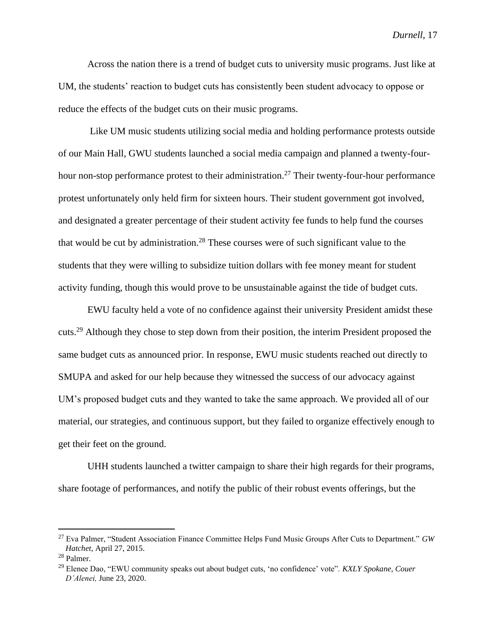Across the nation there is a trend of budget cuts to university music programs. Just like at UM, the students' reaction to budget cuts has consistently been student advocacy to oppose or reduce the effects of the budget cuts on their music programs.

Like UM music students utilizing social media and holding performance protests outside of our Main Hall, GWU students launched a social media campaign and planned a twenty-fourhour non-stop performance protest to their administration.<sup>27</sup> Their twenty-four-hour performance protest unfortunately only held firm for sixteen hours. Their student government got involved, and designated a greater percentage of their student activity fee funds to help fund the courses that would be cut by administration.<sup>28</sup> These courses were of such significant value to the students that they were willing to subsidize tuition dollars with fee money meant for student activity funding, though this would prove to be unsustainable against the tide of budget cuts.

EWU faculty held a vote of no confidence against their university President amidst these cuts.<sup>29</sup> Although they chose to step down from their position, the interim President proposed the same budget cuts as announced prior. In response, EWU music students reached out directly to SMUPA and asked for our help because they witnessed the success of our advocacy against UM's proposed budget cuts and they wanted to take the same approach. We provided all of our material, our strategies, and continuous support, but they failed to organize effectively enough to get their feet on the ground.

UHH students launched a twitter campaign to share their high regards for their programs, share footage of performances, and notify the public of their robust events offerings, but the

<sup>27</sup> Eva Palmer, "Student Association Finance Committee Helps Fund Music Groups After Cuts to Department." *GW Hatchet*, April 27, 2015.

<sup>28</sup> Palmer.

<sup>29</sup> Elenee Dao, "EWU community speaks out about budget cuts, 'no confidence' vote". *KXLY Spokane, Couer D'Alenei,* June 23, 2020.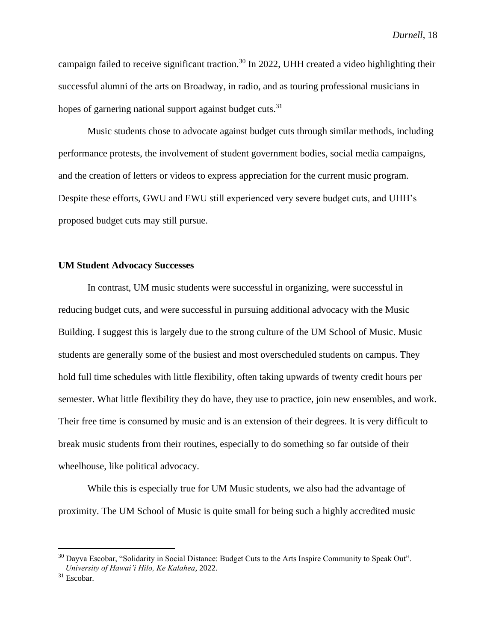campaign failed to receive significant traction.<sup>30</sup> In 2022, UHH created a video highlighting their successful alumni of the arts on Broadway, in radio, and as touring professional musicians in hopes of garnering national support against budget cuts.<sup>31</sup>

Music students chose to advocate against budget cuts through similar methods, including performance protests, the involvement of student government bodies, social media campaigns, and the creation of letters or videos to express appreciation for the current music program. Despite these efforts, GWU and EWU still experienced very severe budget cuts, and UHH's proposed budget cuts may still pursue.

#### **UM Student Advocacy Successes**

In contrast, UM music students were successful in organizing, were successful in reducing budget cuts, and were successful in pursuing additional advocacy with the Music Building. I suggest this is largely due to the strong culture of the UM School of Music. Music students are generally some of the busiest and most overscheduled students on campus. They hold full time schedules with little flexibility, often taking upwards of twenty credit hours per semester. What little flexibility they do have, they use to practice, join new ensembles, and work. Their free time is consumed by music and is an extension of their degrees. It is very difficult to break music students from their routines, especially to do something so far outside of their wheelhouse, like political advocacy.

While this is especially true for UM Music students, we also had the advantage of proximity. The UM School of Music is quite small for being such a highly accredited music

<sup>&</sup>lt;sup>30</sup> Dayva Escobar, "Solidarity in Social Distance: Budget Cuts to the Arts Inspire Community to Speak Out". *University of Hawai'i Hilo, Ke Kalahea*, 2022.

 $31$  Escobar.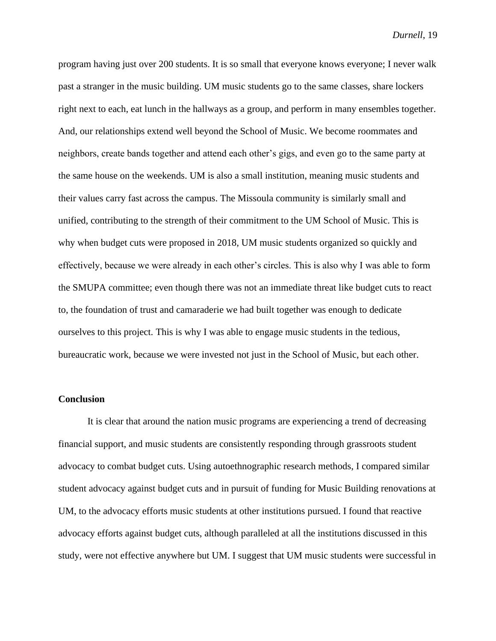program having just over 200 students. It is so small that everyone knows everyone; I never walk past a stranger in the music building. UM music students go to the same classes, share lockers right next to each, eat lunch in the hallways as a group, and perform in many ensembles together. And, our relationships extend well beyond the School of Music. We become roommates and neighbors, create bands together and attend each other's gigs, and even go to the same party at the same house on the weekends. UM is also a small institution, meaning music students and their values carry fast across the campus. The Missoula community is similarly small and unified, contributing to the strength of their commitment to the UM School of Music. This is why when budget cuts were proposed in 2018, UM music students organized so quickly and effectively, because we were already in each other's circles. This is also why I was able to form the SMUPA committee; even though there was not an immediate threat like budget cuts to react to, the foundation of trust and camaraderie we had built together was enough to dedicate ourselves to this project. This is why I was able to engage music students in the tedious, bureaucratic work, because we were invested not just in the School of Music, but each other.

#### **Conclusion**

It is clear that around the nation music programs are experiencing a trend of decreasing financial support, and music students are consistently responding through grassroots student advocacy to combat budget cuts. Using autoethnographic research methods, I compared similar student advocacy against budget cuts and in pursuit of funding for Music Building renovations at UM, to the advocacy efforts music students at other institutions pursued. I found that reactive advocacy efforts against budget cuts, although paralleled at all the institutions discussed in this study, were not effective anywhere but UM. I suggest that UM music students were successful in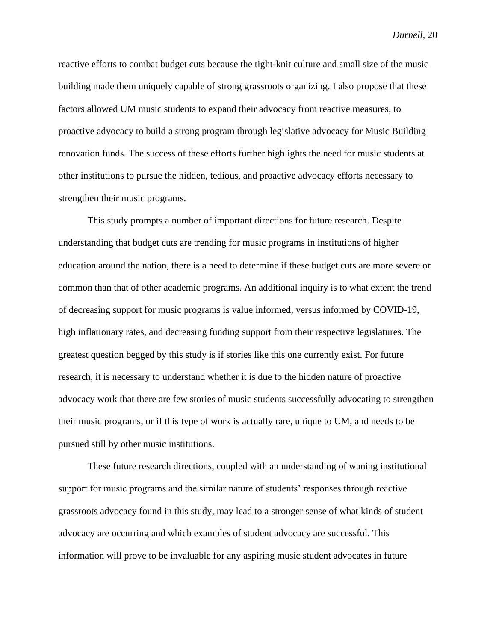reactive efforts to combat budget cuts because the tight-knit culture and small size of the music building made them uniquely capable of strong grassroots organizing. I also propose that these factors allowed UM music students to expand their advocacy from reactive measures, to proactive advocacy to build a strong program through legislative advocacy for Music Building renovation funds. The success of these efforts further highlights the need for music students at other institutions to pursue the hidden, tedious, and proactive advocacy efforts necessary to strengthen their music programs.

This study prompts a number of important directions for future research. Despite understanding that budget cuts are trending for music programs in institutions of higher education around the nation, there is a need to determine if these budget cuts are more severe or common than that of other academic programs. An additional inquiry is to what extent the trend of decreasing support for music programs is value informed, versus informed by COVID-19, high inflationary rates, and decreasing funding support from their respective legislatures. The greatest question begged by this study is if stories like this one currently exist. For future research, it is necessary to understand whether it is due to the hidden nature of proactive advocacy work that there are few stories of music students successfully advocating to strengthen their music programs, or if this type of work is actually rare, unique to UM, and needs to be pursued still by other music institutions.

These future research directions, coupled with an understanding of waning institutional support for music programs and the similar nature of students' responses through reactive grassroots advocacy found in this study, may lead to a stronger sense of what kinds of student advocacy are occurring and which examples of student advocacy are successful. This information will prove to be invaluable for any aspiring music student advocates in future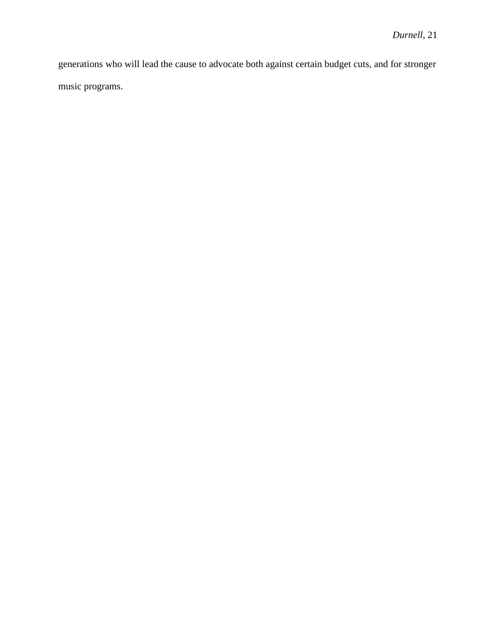generations who will lead the cause to advocate both against certain budget cuts, and for stronger music programs.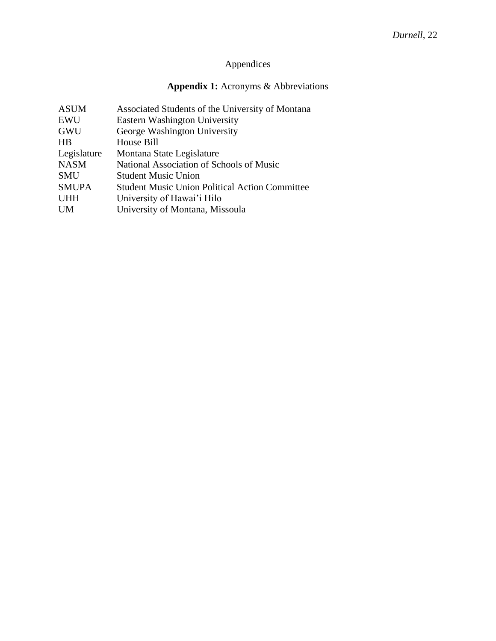## Appendices

## **Appendix 1:** Acronyms & Abbreviations

| <b>ASUM</b>  | Associated Students of the University of Montana      |
|--------------|-------------------------------------------------------|
| <b>EWU</b>   | <b>Eastern Washington University</b>                  |
| <b>GWU</b>   | George Washington University                          |
| HB           | House Bill                                            |
| Legislature  | Montana State Legislature                             |
| <b>NASM</b>  | National Association of Schools of Music              |
| <b>SMU</b>   | <b>Student Music Union</b>                            |
| <b>SMUPA</b> | <b>Student Music Union Political Action Committee</b> |
| <b>UHH</b>   | University of Hawai'i Hilo                            |
| <b>UM</b>    | University of Montana, Missoula                       |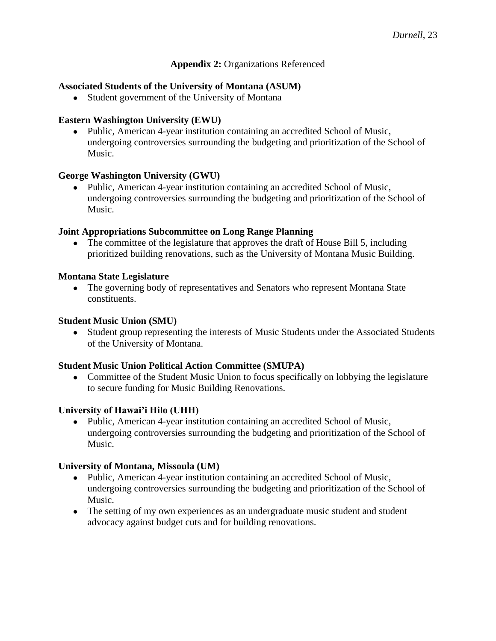## **Appendix 2:** Organizations Referenced

## **Associated Students of the University of Montana (ASUM)**

• Student government of the University of Montana

## **Eastern Washington University (EWU)**

• Public, American 4-year institution containing an accredited School of Music, undergoing controversies surrounding the budgeting and prioritization of the School of Music.

## **George Washington University (GWU)**

• Public, American 4-year institution containing an accredited School of Music, undergoing controversies surrounding the budgeting and prioritization of the School of Music.

### **Joint Appropriations Subcommittee on Long Range Planning**

• The committee of the legislature that approves the draft of House Bill 5, including prioritized building renovations, such as the University of Montana Music Building.

### **Montana State Legislature**

• The governing body of representatives and Senators who represent Montana State constituents.

### **Student Music Union (SMU)**

● Student group representing the interests of Music Students under the Associated Students of the University of Montana.

### **Student Music Union Political Action Committee (SMUPA)**

• Committee of the Student Music Union to focus specifically on lobbying the legislature to secure funding for Music Building Renovations.

### **University of Hawai'i Hilo (UHH)**

• Public, American 4-year institution containing an accredited School of Music, undergoing controversies surrounding the budgeting and prioritization of the School of Music.

### **University of Montana, Missoula (UM)**

- Public, American 4-year institution containing an accredited School of Music, undergoing controversies surrounding the budgeting and prioritization of the School of Music.
- The setting of my own experiences as an undergraduate music student and student advocacy against budget cuts and for building renovations.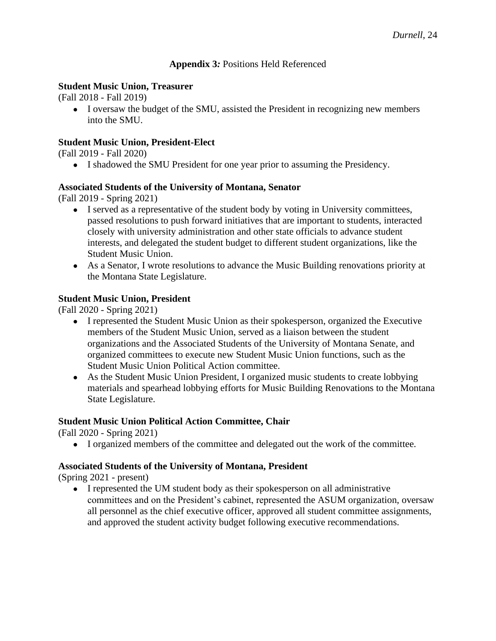## **Appendix 3***:* Positions Held Referenced

## **Student Music Union, Treasurer**

(Fall 2018 - Fall 2019)

• I oversaw the budget of the SMU, assisted the President in recognizing new members into the SMU.

## **Student Music Union, President-Elect**

(Fall 2019 - Fall 2020)

• I shadowed the SMU President for one year prior to assuming the Presidency.

## **Associated Students of the University of Montana, Senator**

(Fall 2019 - Spring 2021)

- I served as a representative of the student body by voting in University committees, passed resolutions to push forward initiatives that are important to students, interacted closely with university administration and other state officials to advance student interests, and delegated the student budget to different student organizations, like the Student Music Union.
- As a Senator, I wrote resolutions to advance the Music Building renovations priority at the Montana State Legislature.

## **Student Music Union, President**

(Fall 2020 - Spring 2021)

- I represented the Student Music Union as their spokesperson, organized the Executive members of the Student Music Union, served as a liaison between the student organizations and the Associated Students of the University of Montana Senate, and organized committees to execute new Student Music Union functions, such as the Student Music Union Political Action committee.
- As the Student Music Union President, I organized music students to create lobbying materials and spearhead lobbying efforts for Music Building Renovations to the Montana State Legislature.

### **Student Music Union Political Action Committee, Chair**

(Fall 2020 - Spring 2021)

● I organized members of the committee and delegated out the work of the committee.

### **Associated Students of the University of Montana, President**

(Spring 2021 - present)

● I represented the UM student body as their spokesperson on all administrative committees and on the President's cabinet, represented the ASUM organization, oversaw all personnel as the chief executive officer, approved all student committee assignments, and approved the student activity budget following executive recommendations.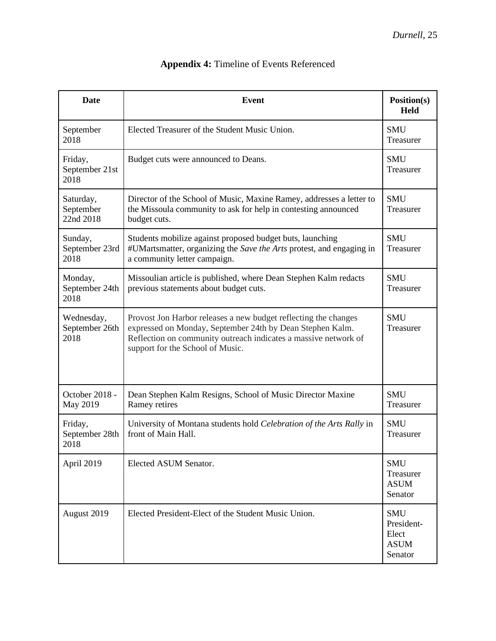| <b>Date</b>                          | <b>Event</b>                                                                                                                                                                                                                        | Position(s)<br><b>Held</b>                                  |
|--------------------------------------|-------------------------------------------------------------------------------------------------------------------------------------------------------------------------------------------------------------------------------------|-------------------------------------------------------------|
| September<br>2018                    | Elected Treasurer of the Student Music Union.                                                                                                                                                                                       | <b>SMU</b><br>Treasurer                                     |
| Friday,<br>September 21st<br>2018    | Budget cuts were announced to Deans.                                                                                                                                                                                                | <b>SMU</b><br><b>Treasurer</b>                              |
| Saturday,<br>September<br>22nd 2018  | Director of the School of Music, Maxine Ramey, addresses a letter to<br>the Missoula community to ask for help in contesting announced<br>budget cuts.                                                                              | <b>SMU</b><br>Treasurer                                     |
| Sunday,<br>September 23rd<br>2018    | Students mobilize against proposed budget buts, launching<br>#UMartsmatter, organizing the Save the Arts protest, and engaging in<br>a community letter campaign.                                                                   | <b>SMU</b><br>Treasurer                                     |
| Monday,<br>September 24th<br>2018    | Missoulian article is published, where Dean Stephen Kalm redacts<br>previous statements about budget cuts.                                                                                                                          | <b>SMU</b><br>Treasurer                                     |
| Wednesday,<br>September 26th<br>2018 | Provost Jon Harbor releases a new budget reflecting the changes<br>expressed on Monday, September 24th by Dean Stephen Kalm.<br>Reflection on community outreach indicates a massive network of<br>support for the School of Music. | <b>SMU</b><br>Treasurer                                     |
| October 2018 -<br>May 2019           | Dean Stephen Kalm Resigns, School of Music Director Maxine<br>Ramey retires                                                                                                                                                         | <b>SMU</b><br>Treasurer                                     |
| Friday,<br>September 28th<br>2018    | University of Montana students hold Celebration of the Arts Rally in<br>front of Main Hall.                                                                                                                                         | <b>SMU</b><br>Treasurer                                     |
| April 2019                           | Elected ASUM Senator.                                                                                                                                                                                                               | <b>SMU</b><br>Treasurer<br><b>ASUM</b><br>Senator           |
| August 2019                          | Elected President-Elect of the Student Music Union.                                                                                                                                                                                 | <b>SMU</b><br>President-<br>Elect<br><b>ASUM</b><br>Senator |

## **Appendix 4:** Timeline of Events Referenced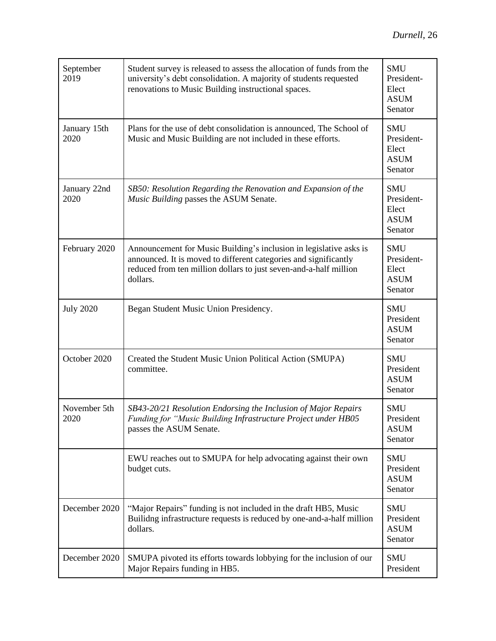| September<br>2019    | Student survey is released to assess the allocation of funds from the<br>university's debt consolidation. A majority of students requested<br>renovations to Music Building instructional spaces.                       | <b>SMU</b><br>President-<br>Elect<br><b>ASUM</b><br>Senator |
|----------------------|-------------------------------------------------------------------------------------------------------------------------------------------------------------------------------------------------------------------------|-------------------------------------------------------------|
| January 15th<br>2020 | Plans for the use of debt consolidation is announced, The School of<br>Music and Music Building are not included in these efforts.                                                                                      | <b>SMU</b><br>President-<br>Elect<br><b>ASUM</b><br>Senator |
| January 22nd<br>2020 | SB50: Resolution Regarding the Renovation and Expansion of the<br>Music Building passes the ASUM Senate.                                                                                                                | <b>SMU</b><br>President-<br>Elect<br><b>ASUM</b><br>Senator |
| February 2020        | Announcement for Music Building's inclusion in legislative asks is<br>announced. It is moved to different categories and significantly<br>reduced from ten million dollars to just seven-and-a-half million<br>dollars. | <b>SMU</b><br>President-<br>Elect<br><b>ASUM</b><br>Senator |
| <b>July 2020</b>     | Began Student Music Union Presidency.                                                                                                                                                                                   | <b>SMU</b><br>President<br><b>ASUM</b><br>Senator           |
| October 2020         | Created the Student Music Union Political Action (SMUPA)<br>committee.                                                                                                                                                  | <b>SMU</b><br>President<br><b>ASUM</b><br>Senator           |
| November 5th<br>2020 | SB43-20/21 Resolution Endorsing the Inclusion of Major Repairs<br>Funding for "Music Building Infrastructure Project under HB05<br>passes the ASUM Senate.                                                              | <b>SMU</b><br>President<br><b>ASUM</b><br>Senator           |
|                      | EWU reaches out to SMUPA for help advocating against their own<br>budget cuts.                                                                                                                                          | SMU<br>President<br><b>ASUM</b><br>Senator                  |
| December 2020        | "Major Repairs" funding is not included in the draft HB5, Music<br>Builidng infrastructure requests is reduced by one-and-a-half million<br>dollars.                                                                    | <b>SMU</b><br>President<br><b>ASUM</b><br>Senator           |
| December 2020        | SMUPA pivoted its efforts towards lobbying for the inclusion of our<br>Major Repairs funding in HB5.                                                                                                                    | <b>SMU</b><br>President                                     |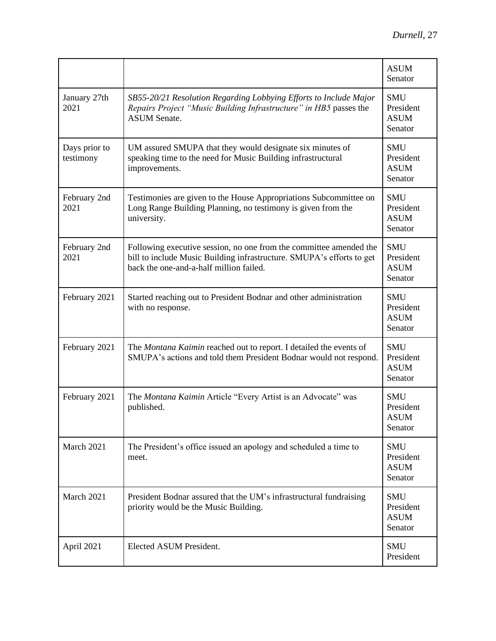|                            |                                                                                                                                                                                        | <b>ASUM</b><br>Senator                            |
|----------------------------|----------------------------------------------------------------------------------------------------------------------------------------------------------------------------------------|---------------------------------------------------|
| January 27th<br>2021       | SB55-20/21 Resolution Regarding Lobbying Efforts to Include Major<br>Repairs Project "Music Building Infrastructure" in HB5 passes the<br><b>ASUM</b> Senate.                          | <b>SMU</b><br>President<br><b>ASUM</b><br>Senator |
| Days prior to<br>testimony | UM assured SMUPA that they would designate six minutes of<br>speaking time to the need for Music Building infrastructural<br>improvements.                                             | <b>SMU</b><br>President<br><b>ASUM</b><br>Senator |
| February 2nd<br>2021       | Testimonies are given to the House Appropriations Subcommittee on<br>Long Range Building Planning, no testimony is given from the<br>university.                                       | <b>SMU</b><br>President<br><b>ASUM</b><br>Senator |
| February 2nd<br>2021       | Following executive session, no one from the committee amended the<br>bill to include Music Building infrastructure. SMUPA's efforts to get<br>back the one-and-a-half million failed. | <b>SMU</b><br>President<br><b>ASUM</b><br>Senator |
| February 2021              | Started reaching out to President Bodnar and other administration<br>with no response.                                                                                                 | <b>SMU</b><br>President<br><b>ASUM</b><br>Senator |
| February 2021              | The Montana Kaimin reached out to report. I detailed the events of<br>SMUPA's actions and told them President Bodnar would not respond.                                                | <b>SMU</b><br>President<br><b>ASUM</b><br>Senator |
| February 2021              | The Montana Kaimin Article "Every Artist is an Advocate" was<br>published.                                                                                                             | <b>SMU</b><br>President<br><b>ASUM</b><br>Senator |
| March 2021                 | The President's office issued an apology and scheduled a time to<br>meet.                                                                                                              | <b>SMU</b><br>President<br><b>ASUM</b><br>Senator |
| March 2021                 | President Bodnar assured that the UM's infrastructural fundraising<br>priority would be the Music Building.                                                                            | <b>SMU</b><br>President<br><b>ASUM</b><br>Senator |
| April 2021                 | Elected ASUM President.                                                                                                                                                                | <b>SMU</b><br>President                           |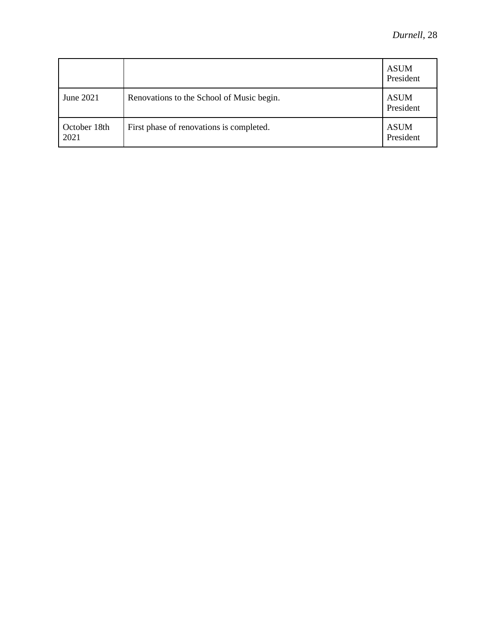|                      |                                           | <b>ASUM</b><br>President |
|----------------------|-------------------------------------------|--------------------------|
| June 2021            | Renovations to the School of Music begin. | <b>ASUM</b><br>President |
| October 18th<br>2021 | First phase of renovations is completed.  | <b>ASUM</b><br>President |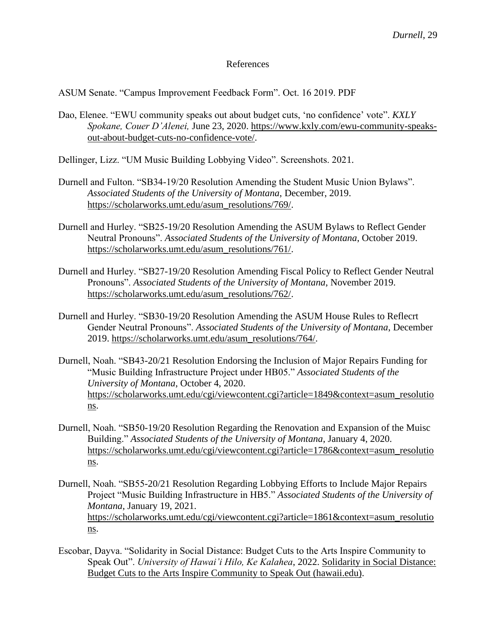#### References

ASUM Senate. "Campus Improvement Feedback Form". Oct. 16 2019. PDF

Dao, Elenee. "EWU community speaks out about budget cuts, 'no confidence' vote". *KXLY Spokane, Couer D'Alenei,* June 23, 2020. [https://www.kxly.com/ewu-community-speaks](https://www.kxly.com/ewu-community-speaks-out-about-budget-cuts-no-confidence-vote/)[out-about-budget-cuts-no-confidence-vote/.](https://www.kxly.com/ewu-community-speaks-out-about-budget-cuts-no-confidence-vote/)

Dellinger, Lizz. "UM Music Building Lobbying Video". Screenshots. 2021.

- Durnell and Fulton. "SB34-19/20 Resolution Amending the Student Music Union Bylaws". *Associated Students of the University of Montana*, December, 2019. [https://scholarworks.umt.edu/asum\\_resolutions/769/.](https://scholarworks.umt.edu/asum_resolutions/769/)
- Durnell and Hurley. "SB25-19/20 Resolution Amending the ASUM Bylaws to Reflect Gender Neutral Pronouns". *Associated Students of the University of Montana*, October 2019. [https://scholarworks.umt.edu/asum\\_resolutions/761/.](https://scholarworks.umt.edu/asum_resolutions/761/)
- Durnell and Hurley. "SB27-19/20 Resolution Amending Fiscal Policy to Reflect Gender Neutral Pronouns". *Associated Students of the University of Montana*, November 2019. [https://scholarworks.umt.edu/asum\\_resolutions/762/.](https://scholarworks.umt.edu/asum_resolutions/762/)
- Durnell and Hurley. "SB30-19/20 Resolution Amending the ASUM House Rules to Reflecrt Gender Neutral Pronouns". *Associated Students of the University of Montana*, December 2019. [https://scholarworks.umt.edu/asum\\_resolutions/764/.](https://scholarworks.umt.edu/asum_resolutions/764/)
- Durnell, Noah. "SB43-20/21 Resolution Endorsing the Inclusion of Major Repairs Funding for "Music Building Infrastructure Project under HB05." *Associated Students of the University of Montana*, October 4, 2020. [https://scholarworks.umt.edu/cgi/viewcontent.cgi?article=1849&context=asum\\_resolutio](https://scholarworks.umt.edu/cgi/viewcontent.cgi?article=1849&context=asum_resolutions) [ns.](https://scholarworks.umt.edu/cgi/viewcontent.cgi?article=1849&context=asum_resolutions)
- Durnell, Noah. "SB50-19/20 Resolution Regarding the Renovation and Expansion of the Muisc Building." *Associated Students of the University of Montana*, January 4, 2020. [https://scholarworks.umt.edu/cgi/viewcontent.cgi?article=1786&context=asum\\_resolutio](https://scholarworks.umt.edu/cgi/viewcontent.cgi?article=1786&context=asum_resolutions) [ns.](https://scholarworks.umt.edu/cgi/viewcontent.cgi?article=1786&context=asum_resolutions)
- Durnell, Noah. "SB55-20/21 Resolution Regarding Lobbying Efforts to Include Major Repairs Project "Music Building Infrastructure in HB5." *Associated Students of the University of Montana*, January 19, 2021. [https://scholarworks.umt.edu/cgi/viewcontent.cgi?article=1861&context=asum\\_resolutio](https://scholarworks.umt.edu/cgi/viewcontent.cgi?article=1861&context=asum_resolutions) [ns.](https://scholarworks.umt.edu/cgi/viewcontent.cgi?article=1861&context=asum_resolutions)
- Escobar, Dayva. "Solidarity in Social Distance: Budget Cuts to the Arts Inspire Community to Speak Out". *University of Hawai'i Hilo, Ke Kalahea*, 2022. [Solidarity in Social Distance:](https://hilo.hawaii.edu/news/kekalahea/solidarity-in-social-distance-budget-cuts-to-the-arts-inspire-community-to-speak-out)  [Budget Cuts to the Arts Inspire Community to Speak Out \(hawaii.edu\).](https://hilo.hawaii.edu/news/kekalahea/solidarity-in-social-distance-budget-cuts-to-the-arts-inspire-community-to-speak-out)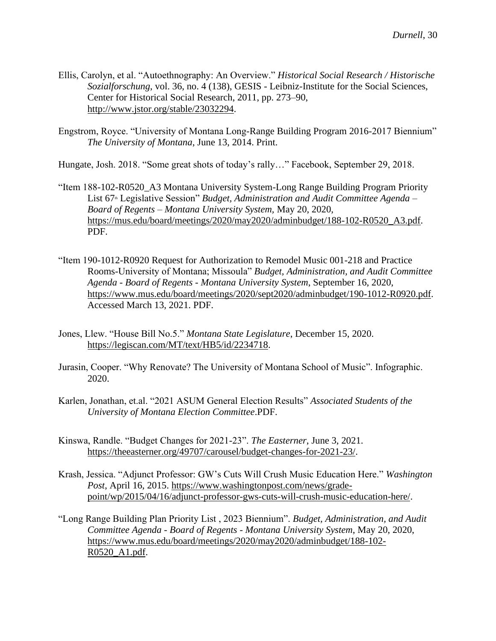- Ellis, Carolyn, et al. "Autoethnography: An Overview." *Historical Social Research / Historische Sozialforschung*, vol. 36, no. 4 (138), GESIS - Leibniz-Institute for the Social Sciences, Center for Historical Social Research, 2011, pp. 273–90, [http://www.jstor.org/stable/23032294.](http://www.jstor.org/stable/23032294)
- Engstrom, Royce. "University of Montana Long-Range Building Program 2016-2017 Biennium" *The University of Montana*, June 13, 2014. Print.
- Hungate, Josh. 2018. "Some great shots of today's rally…" Facebook, September 29, 2018.
- "Item 188-102-R0520\_A3 Montana University System-Long Range Building Program Priority List 67<sup>th</sup> Legislative Session" *Budget, Administration and Audit Committee Agenda – Board of Regents – Montana University System,* May 20, 2020[,](https://mus.edu/board/meetings/2020/may2020/adminbudget/188-102-R0520_A3.pdf) [https://mus.edu/board/meetings/2020/may2020/adminbudget/188-102-R0520\\_A3.pdf.](https://mus.edu/board/meetings/2020/may2020/adminbudget/188-102-R0520_A3.pdf) PDF.
- "Item 190-1012-R0920 Request for Authorization to Remodel Music 001-218 and Practice Rooms-University of Montana; Missoula" *Budget, Administration, and Audit Committee Agenda - Board of Regents - Montana University System*, September 16, 2020, [https://www.mus.edu/board/meetings/2020/sept2020/adminbudget/190-1012-R0920.pdf.](https://www.mus.edu/board/meetings/2020/sept2020/adminbudget/190-1012-R0920.pdf) Accessed March 13, 2021. PDF.
- Jones, Llew. "House Bill No.5." *Montana State Legislature*, December 15, 2020. [https://legiscan.com/MT/text/HB5/id/2234718.](https://legiscan.com/MT/text/HB5/id/2234718)
- Jurasin, Cooper. "Why Renovate? The University of Montana School of Music". Infographic. 2020.
- Karlen, Jonathan, et.al. "2021 ASUM General Election Results" *Associated Students of the University of Montana Election Committee*.PDF.
- Kinswa, Randle. "Budget Changes for 2021-23". *The Easterner*, June 3, 2021. [https://theeasterner.org/49707/carousel/budget-changes-for-2021-23/.](https://theeasterner.org/49707/carousel/budget-changes-for-2021-23/)
- Krash, Jessica. "Adjunct Professor: GW's Cuts Will Crush Music Education Here." *Washington Post*, April 16, 2015. [https://www.washingtonpost.com/news/grade](https://www.washingtonpost.com/news/grade-point/wp/2015/04/16/adjunct-professor-gws-cuts-will-crush-music-education-here/)[point/wp/2015/04/16/adjunct-professor-gws-cuts-will-crush-music-education-here/.](https://www.washingtonpost.com/news/grade-point/wp/2015/04/16/adjunct-professor-gws-cuts-will-crush-music-education-here/)

"Long Range Building Plan Priority List , 2023 Biennium". *Budget, Administration, and Audit Committee Agenda - Board of Regents - Montana University System*, May 20, 2020, [https://www.mus.edu/board/meetings/2020/may2020/adminbudget/188-102-](https://www.mus.edu/board/meetings/2020/may2020/adminbudget/188-102-R0520_A1.pdf) [R0520\\_A1.pdf.](https://www.mus.edu/board/meetings/2020/may2020/adminbudget/188-102-R0520_A1.pdf)